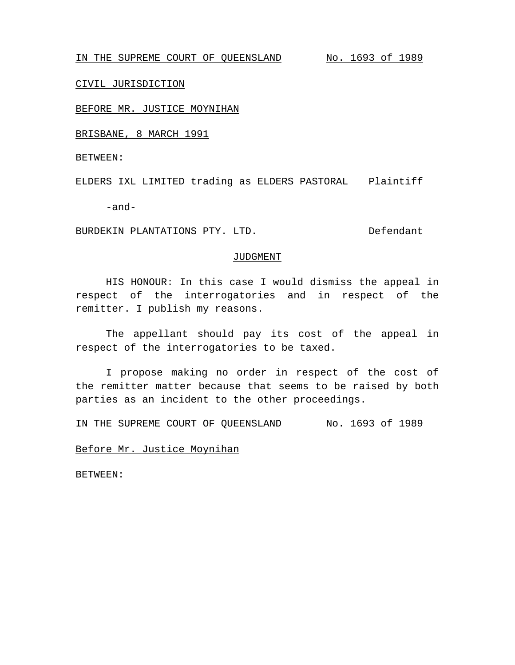IN THE SUPREME COURT OF QUEENSLAND No. 1693 of 1989

# CIVIL JURISDICTION

## BEFORE MR. JUSTICE MOYNIHAN

BRISBANE, 8 MARCH 1991

BETWEEN:

ELDERS IXL LIMITED trading as ELDERS PASTORAL Plaintiff

-and-

BURDEKIN PLANTATIONS PTY. LTD. Defendant

#### JUDGMENT

HIS HONOUR: In this case I would dismiss the appeal in respect of the interrogatories and in respect of the remitter. I publish my reasons.

The appellant should pay its cost of the appeal in respect of the interrogatories to be taxed.

I propose making no order in respect of the cost of the remitter matter because that seems to be raised by both parties as an incident to the other proceedings.

IN THE SUPREME COURT OF QUEENSLAND No. 1693 of 1989

Before Mr. Justice Moynihan

BETWEEN: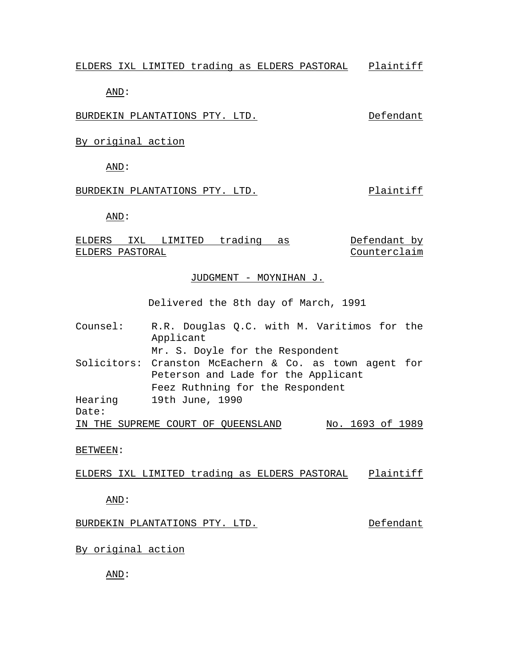ELDERS IXL LIMITED trading as ELDERS PASTORAL Plaintiff

AND:

BURDEKIN PLANTATIONS PTY. LTD. Defendant

By original action

AND:

# BURDEKIN PLANTATIONS PTY. LTD. Plaintiff

AND:

ELDERS IXL LIMITED trading as ELDERS PASTORAL Defendant by Counterclaim

#### JUDGMENT - MOYNIHAN J.

Delivered the 8th day of March, 1991

Counsel: R.R. Douglas Q.C. with M. Varitimos for the Applicant Mr. S. Doyle for the Respondent Solicitors: Cranston McEachern & Co. as town agent for Peterson and Lade for the Applicant Feez Ruthning for the Respondent Hearing Date: 19th June, 1990 IN THE SUPREME COURT OF QUEENSLAND No. 1693 of 1989

BETWEEN:

ELDERS IXL LIMITED trading as ELDERS PASTORAL Plaintiff

AND:

## BURDEKIN PLANTATIONS PTY. LTD. Defendant

# By original action

AND: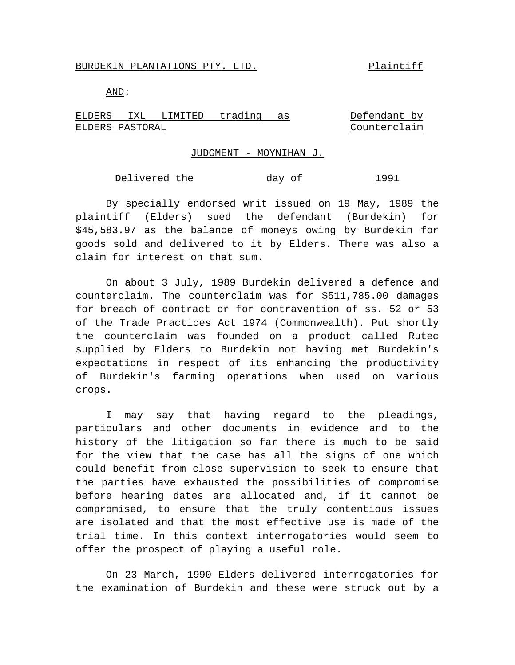#### BURDEKIN PLANTATIONS PTY. LTD. Plaintiff

AND:

ELDERS IXL LIMITED trading as ELDERS PASTORAL Defendant by Counterclaim

## JUDGMENT - MOYNIHAN J.

Delivered the day of 1991

By specially endorsed writ issued on 19 May, 1989 the plaintiff (Elders) sued the defendant (Burdekin) for \$45,583.97 as the balance of moneys owing by Burdekin for goods sold and delivered to it by Elders. There was also a claim for interest on that sum.

On about 3 July, 1989 Burdekin delivered a defence and counterclaim. The counterclaim was for \$511,785.00 damages for breach of contract or for contravention of ss. 52 or 53 of the Trade Practices Act 1974 (Commonwealth). Put shortly the counterclaim was founded on a product called Rutec supplied by Elders to Burdekin not having met Burdekin's expectations in respect of its enhancing the productivity of Burdekin's farming operations when used on various crops.

I may say that having regard to the pleadings, particulars and other documents in evidence and to the history of the litigation so far there is much to be said for the view that the case has all the signs of one which could benefit from close supervision to seek to ensure that the parties have exhausted the possibilities of compromise before hearing dates are allocated and, if it cannot be compromised, to ensure that the truly contentious issues are isolated and that the most effective use is made of the trial time. In this context interrogatories would seem to offer the prospect of playing a useful role.

On 23 March, 1990 Elders delivered interrogatories for the examination of Burdekin and these were struck out by a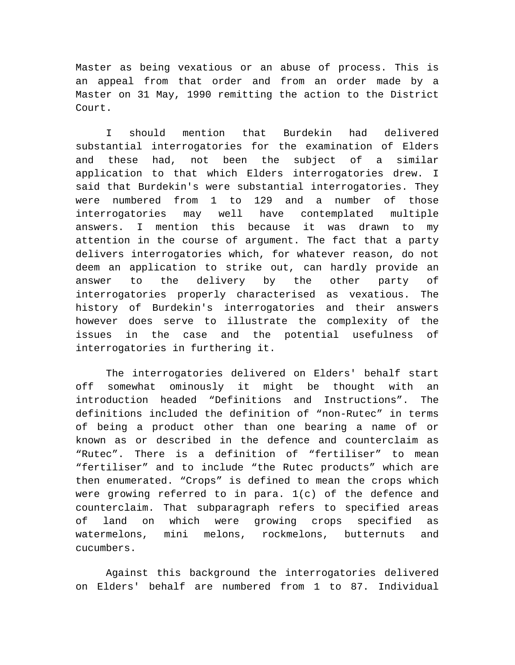Master as being vexatious or an abuse of process. This is an appeal from that order and from an order made by a Master on 31 May, 1990 remitting the action to the District Court.

I should mention that Burdekin had delivered substantial interrogatories for the examination of Elders and these had, not been the subject of a similar application to that which Elders interrogatories drew. I said that Burdekin's were substantial interrogatories. They were numbered from 1 to 129 and a number of those interrogatories may well have contemplated multiple answers. I mention this because it was drawn to my attention in the course of argument. The fact that a party delivers interrogatories which, for whatever reason, do not deem an application to strike out, can hardly provide an answer to the delivery by the other party of interrogatories properly characterised as vexatious. The history of Burdekin's interrogatories and their answers however does serve to illustrate the complexity of the issues in the case and the potential usefulness of interrogatories in furthering it.

The interrogatories delivered on Elders' behalf start off somewhat ominously it might be thought with an introduction headed "Definitions and Instructions". The definitions included the definition of "non-Rutec" in terms of being a product other than one bearing a name of or known as or described in the defence and counterclaim as "Rutec". There is a definition of "fertiliser" to mean "fertiliser" and to include "the Rutec products" which are then enumerated. "Crops" is defined to mean the crops which were growing referred to in para. 1(c) of the defence and counterclaim. That subparagraph refers to specified areas of land on which were growing crops specified as watermelons, mini melons, rockmelons, butternuts and cucumbers.

Against this background the interrogatories delivered on Elders' behalf are numbered from 1 to 87. Individual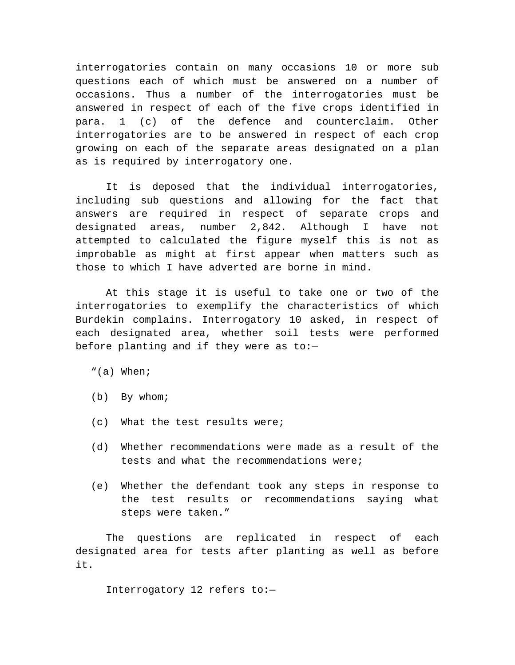interrogatories contain on many occasions 10 or more sub questions each of which must be answered on a number of occasions. Thus a number of the interrogatories must be answered in respect of each of the five crops identified in para. 1 (c) of the defence and counterclaim. Other interrogatories are to be answered in respect of each crop growing on each of the separate areas designated on a plan as is required by interrogatory one.

It is deposed that the individual interrogatories, including sub questions and allowing for the fact that answers are required in respect of separate crops and designated areas, number 2,842. Although I have not attempted to calculated the figure myself this is not as improbable as might at first appear when matters such as those to which I have adverted are borne in mind.

At this stage it is useful to take one or two of the interrogatories to exemplify the characteristics of which Burdekin complains. Interrogatory 10 asked, in respect of each designated area, whether soil tests were performed before planting and if they were as  $to:-$ 

- "(a) When;
- (b) By whom;
- (c) What the test results were;
- (d) Whether recommendations were made as a result of the tests and what the recommendations were;
- (e) Whether the defendant took any steps in response to the test results or recommendations saying what steps were taken."

The questions are replicated in respect of each designated area for tests after planting as well as before it.

Interrogatory 12 refers to:—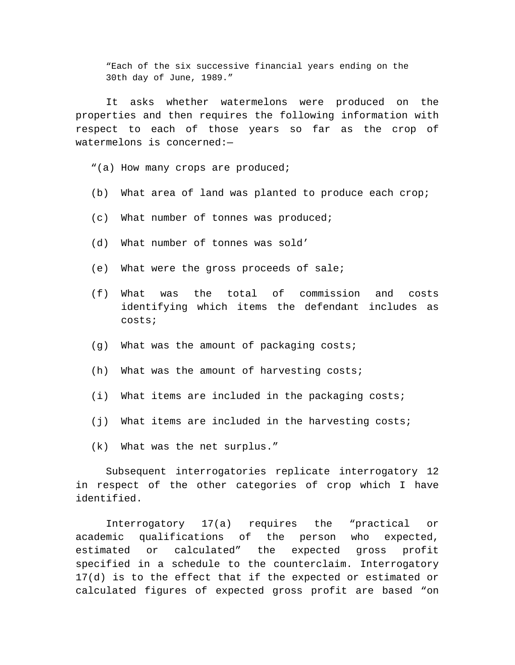"Each of the six successive financial years ending on the 30th day of June, 1989."

It asks whether watermelons were produced on the properties and then requires the following information with respect to each of those years so far as the crop of watermelons is concerned:—

"(a) How many crops are produced;

- (b) What area of land was planted to produce each crop;
- (c) What number of tonnes was produced;
- (d) What number of tonnes was sold'
- (e) What were the gross proceeds of sale;
- (f) What was the total of commission and costs identifying which items the defendant includes as costs;
- (g) What was the amount of packaging costs;
- (h) What was the amount of harvesting costs;
- (i) What items are included in the packaging costs;
- (j) What items are included in the harvesting costs;
- (k) What was the net surplus."

Subsequent interrogatories replicate interrogatory 12 in respect of the other categories of crop which I have identified.

Interrogatory 17(a) requires the "practical or academic qualifications of the person who expected, estimated or calculated" the expected gross profit specified in a schedule to the counterclaim. Interrogatory 17(d) is to the effect that if the expected or estimated or calculated figures of expected gross profit are based "on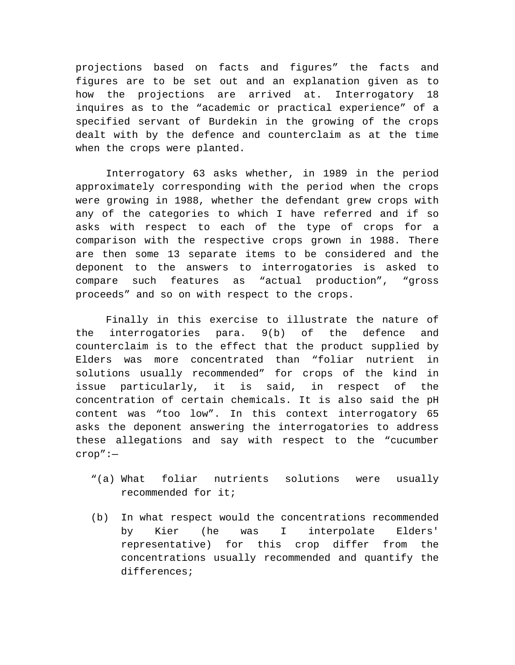projections based on facts and figures" the facts and figures are to be set out and an explanation given as to how the projections are arrived at. Interrogatory 18 inquires as to the "academic or practical experience" of a specified servant of Burdekin in the growing of the crops dealt with by the defence and counterclaim as at the time when the crops were planted.

Interrogatory 63 asks whether, in 1989 in the period approximately corresponding with the period when the crops were growing in 1988, whether the defendant grew crops with any of the categories to which I have referred and if so asks with respect to each of the type of crops for a comparison with the respective crops grown in 1988. There are then some 13 separate items to be considered and the deponent to the answers to interrogatories is asked to compare such features as "actual production", "gross proceeds" and so on with respect to the crops.

Finally in this exercise to illustrate the nature of the interrogatories para. 9(b) of the defence and counterclaim is to the effect that the product supplied by Elders was more concentrated than "foliar nutrient in solutions usually recommended" for crops of the kind in issue particularly, it is said, in respect of the concentration of certain chemicals. It is also said the pH content was "too low". In this context interrogatory 65 asks the deponent answering the interrogatories to address these allegations and say with respect to the "cucumber crop":—

- "(a) What foliar nutrients solutions were usually recommended for it;
- (b) In what respect would the concentrations recommended by Kier (he was I interpolate Elders' representative) for this crop differ from the concentrations usually recommended and quantify the differences;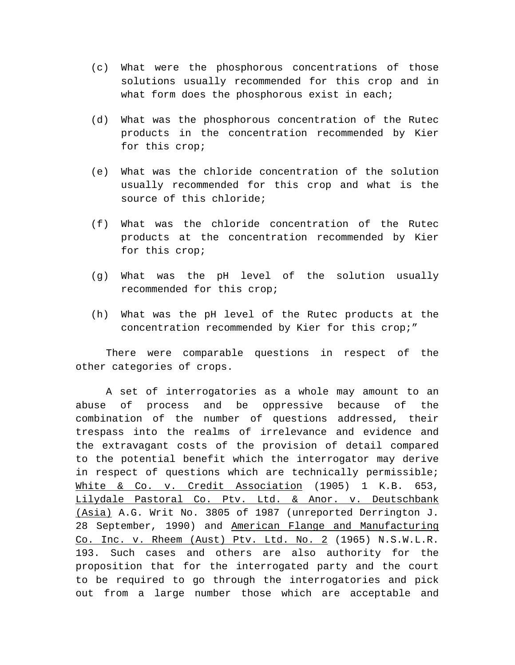- (c) What were the phosphorous concentrations of those solutions usually recommended for this crop and in what form does the phosphorous exist in each;
- (d) What was the phosphorous concentration of the Rutec products in the concentration recommended by Kier for this crop;
- (e) What was the chloride concentration of the solution usually recommended for this crop and what is the source of this chloride;
- (f) What was the chloride concentration of the Rutec products at the concentration recommended by Kier for this crop;
- (g) What was the pH level of the solution usually recommended for this crop;
- (h) What was the pH level of the Rutec products at the concentration recommended by Kier for this crop;"

There were comparable questions in respect of the other categories of crops.

A set of interrogatories as a whole may amount to an abuse of process and be oppressive because of the combination of the number of questions addressed, their trespass into the realms of irrelevance and evidence and the extravagant costs of the provision of detail compared to the potential benefit which the interrogator may derive in respect of questions which are technically permissible; White & Co. v. Credit Association (1905) 1 K.B. 653, Lilydale Pastoral Co. Ptv. Ltd. & Anor. v. Deutschbank (Asia) A.G. Writ No. 3805 of 1987 (unreported Derrington J. 28 September, 1990) and American Flange and Manufacturing Co. Inc. v. Rheem (Aust) Ptv. Ltd. No. 2 (1965) N.S.W.L.R. 193. Such cases and others are also authority for the proposition that for the interrogated party and the court to be required to go through the interrogatories and pick out from a large number those which are acceptable and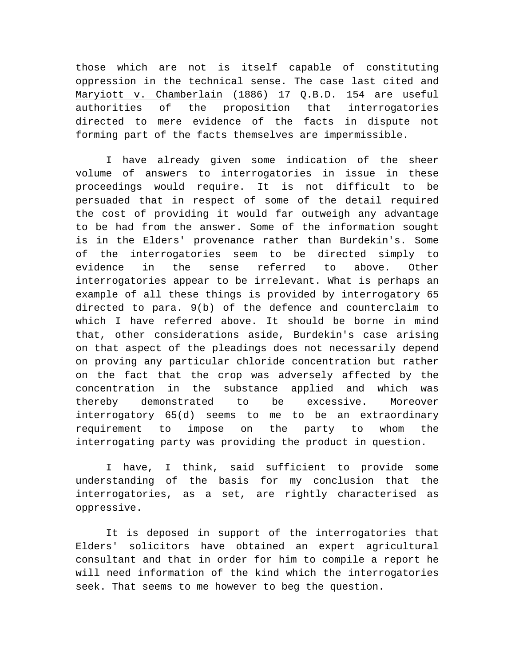those which are not is itself capable of constituting oppression in the technical sense. The case last cited and Maryiott v. Chamberlain (1886) 17 Q.B.D. 154 are useful authorities of the proposition that interrogatories directed to mere evidence of the facts in dispute not forming part of the facts themselves are impermissible.

I have already given some indication of the sheer volume of answers to interrogatories in issue in these proceedings would require. It is not difficult to be persuaded that in respect of some of the detail required the cost of providing it would far outweigh any advantage to be had from the answer. Some of the information sought is in the Elders' provenance rather than Burdekin's. Some of the interrogatories seem to be directed simply to evidence in the sense referred to above. Other interrogatories appear to be irrelevant. What is perhaps an example of all these things is provided by interrogatory 65 directed to para. 9(b) of the defence and counterclaim to which I have referred above. It should be borne in mind that, other considerations aside, Burdekin's case arising on that aspect of the pleadings does not necessarily depend on proving any particular chloride concentration but rather on the fact that the crop was adversely affected by the concentration in the substance applied and which was thereby demonstrated to be excessive. Moreover interrogatory 65(d) seems to me to be an extraordinary requirement to impose on the party to whom the interrogating party was providing the product in question.

I have, I think, said sufficient to provide some understanding of the basis for my conclusion that the interrogatories, as a set, are rightly characterised as oppressive.

It is deposed in support of the interrogatories that Elders' solicitors have obtained an expert agricultural consultant and that in order for him to compile a report he will need information of the kind which the interrogatories seek. That seems to me however to beg the question.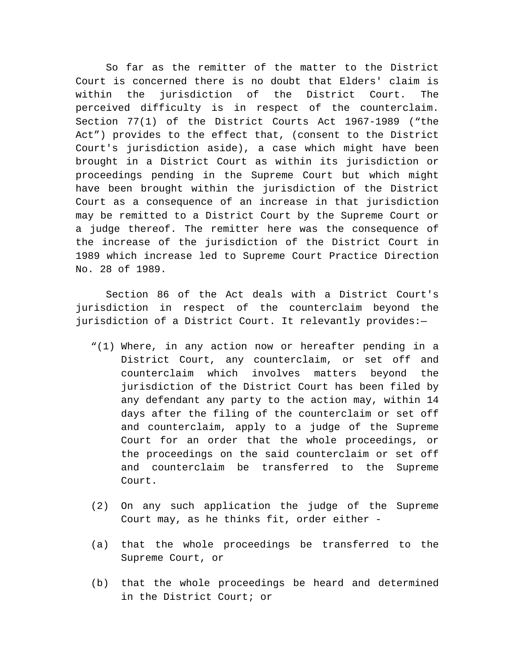So far as the remitter of the matter to the District Court is concerned there is no doubt that Elders' claim is within the jurisdiction of the District Court. The perceived difficulty is in respect of the counterclaim. Section 77(1) of the District Courts Act 1967-1989 ("the Act") provides to the effect that, (consent to the District Court's jurisdiction aside), a case which might have been brought in a District Court as within its jurisdiction or proceedings pending in the Supreme Court but which might have been brought within the jurisdiction of the District Court as a consequence of an increase in that jurisdiction may be remitted to a District Court by the Supreme Court or a judge thereof. The remitter here was the consequence of the increase of the jurisdiction of the District Court in 1989 which increase led to Supreme Court Practice Direction No. 28 of 1989.

Section 86 of the Act deals with a District Court's jurisdiction in respect of the counterclaim beyond the jurisdiction of a District Court. It relevantly provides:—

- "(1) Where, in any action now or hereafter pending in a District Court, any counterclaim, or set off and counterclaim which involves matters beyond the jurisdiction of the District Court has been filed by any defendant any party to the action may, within 14 days after the filing of the counterclaim or set off and counterclaim, apply to a judge of the Supreme Court for an order that the whole proceedings, or the proceedings on the said counterclaim or set off and counterclaim be transferred to the Supreme Court.
- (2) On any such application the judge of the Supreme Court may, as he thinks fit, order either -
- (a) that the whole proceedings be transferred to the Supreme Court, or
- (b) that the whole proceedings be heard and determined in the District Court; or